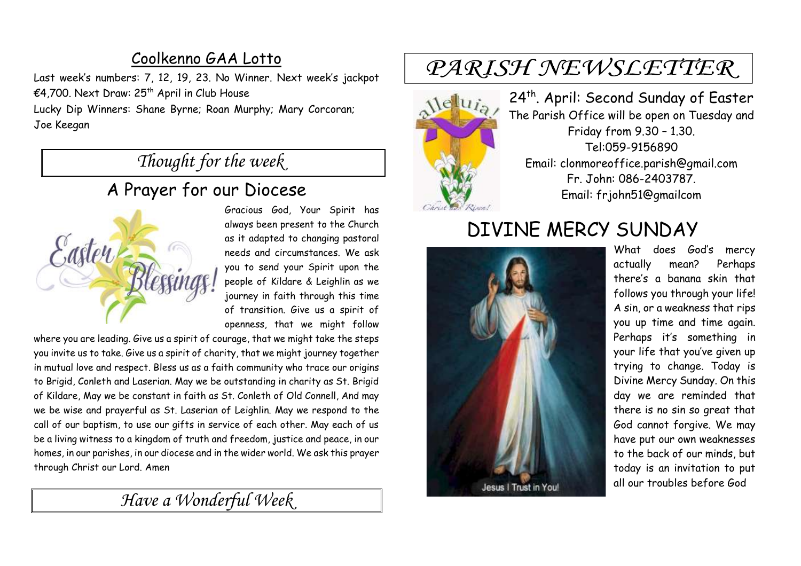### Coolkenno GAA Lotto

Last week's numbers: 7, 12, 19, 23. No Winner. Next week's jackpot €4,700. Next Draw:  $25<sup>th</sup>$  April in Club House Lucky Dip Winners: Shane Byrne; Roan Murphy; Mary Corcoran; Joe Keegan

## *Thought for the week*

### A Prayer for our Diocese



Gracious God, Your Spirit has always been present to the Church as it adapted to changing pastoral needs and circumstances. We ask you to send your Spirit upon the people of Kildare & Leighlin as we journey in faith through this time of transition. Give us a spirit of openness, that we might follow

where you are leading. Give us a spirit of courage, that we might take the steps you invite us to take. Give us a spirit of charity, that we might journey together in mutual love and respect. Bless us as a faith community who trace our origins to Brigid, Conleth and Laserian. May we be outstanding in charity as St. Brigid of Kildare, May we be constant in faith as St. Conleth of Old Connell, And may we be wise and prayerful as St. Laserian of Leighlin. May we respond to the call of our baptism, to use our gifts in service of each other. May each of us be a living witness to a kingdom of truth and freedom, justice and peace, in our homes, in our parishes, in our diocese and in the wider world. We ask this prayer through Christ our Lord. Amen

## *Have a Wonderful Week*

# PARISH NEWSLETTER



24<sup>th</sup>. April: Second Sunday of Easter The Parish Office will be open on Tuesday and Friday from 9.30 – 1.30. Tel:059-9156890 Email: clonmoreoffice.parish@gmail.com Fr. John: 086-2403787. Email: frjohn51@gmailcom

# DIVINE MERCY SUNDAY



What does God's mercy actually mean? Perhaps there's a banana skin that follows you through your life! A sin, or a weakness that rips you up time and time again. Perhaps it's something in your life that you've given up trying to change. Today is Divine Mercy Sunday. On this day we are reminded that there is no sin so great that God cannot forgive. We may have put our own weaknesses to the back of our minds, but today is an invitation to put all our troubles before God